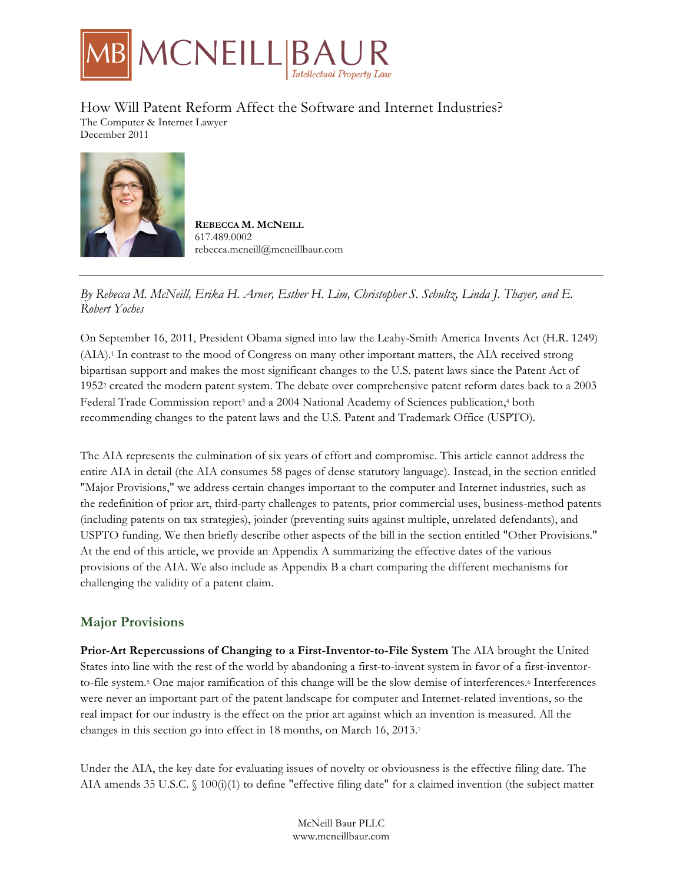

How Will Patent Reform Affect the Software and Internet Industries? The Computer & Internet Lawyer December 2011



**REBECCA M. MCNEILL** 617.489.0002 rebecca.mcneill@mcneillbaur.com

## *By Rebecca M. McNeill, Erika H. Arner, Esther H. Lim, Christopher S. Schultz, Linda J. Thayer, and E. Robert Yoches*

On September 16, 2011, President Obama signed into law the Leahy-Smith America Invents Act (H.R. 1249) (AIA).1 In contrast to the mood of Congress on many other important matters, the AIA received strong bipartisan support and makes the most significant changes to the U.S. patent laws since the Patent Act of 19522 created the modern patent system. The debate over comprehensive patent reform dates back to a 2003 Federal Trade Commission report<sup>3</sup> and a 2004 National Academy of Sciences publication,<sup>4</sup> both recommending changes to the patent laws and the U.S. Patent and Trademark Office (USPTO).

The AIA represents the culmination of six years of effort and compromise. This article cannot address the entire AIA in detail (the AIA consumes 58 pages of dense statutory language). Instead, in the section entitled "Major Provisions," we address certain changes important to the computer and Internet industries, such as the redefinition of prior art, third-party challenges to patents, prior commercial uses, business-method patents (including patents on tax strategies), joinder (preventing suits against multiple, unrelated defendants), and USPTO funding. We then briefly describe other aspects of the bill in the section entitled "Other Provisions." At the end of this article, we provide an Appendix A summarizing the effective dates of the various provisions of the AIA. We also include as Appendix B a chart comparing the different mechanisms for challenging the validity of a patent claim.

# **Major Provisions**

**Prior-Art Repercussions of Changing to a First-Inventor-to-File System** The AIA brought the United States into line with the rest of the world by abandoning a first-to-invent system in favor of a first-inventorto-file system.5 One major ramification of this change will be the slow demise of interferences.6 Interferences were never an important part of the patent landscape for computer and Internet-related inventions, so the real impact for our industry is the effect on the prior art against which an invention is measured. All the changes in this section go into effect in 18 months, on March 16, 2013.7

Under the AIA, the key date for evaluating issues of novelty or obviousness is the effective filing date. The AIA amends 35 U.S.C. § 100(i)(1) to define "effective filing date" for a claimed invention (the subject matter

> McNeill Baur PLLC www.mcneillbaur.com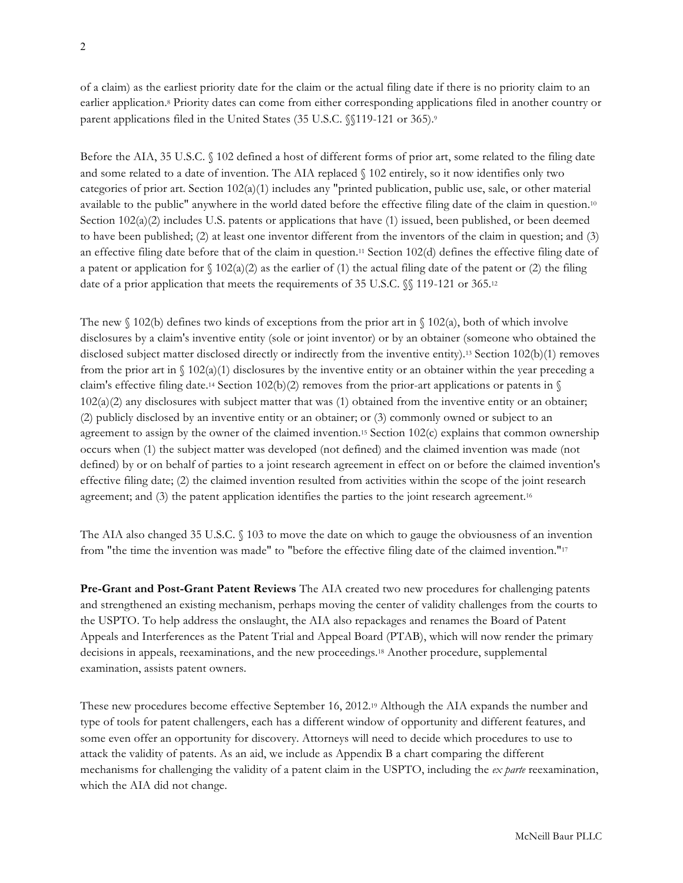of a claim) as the earliest priority date for the claim or the actual filing date if there is no priority claim to an earlier application.8 Priority dates can come from either corresponding applications filed in another country or parent applications filed in the United States (35 U.S.C. §§119-121 or 365).9

Before the AIA, 35 U.S.C. § 102 defined a host of different forms of prior art, some related to the filing date and some related to a date of invention. The AIA replaced § 102 entirely, so it now identifies only two categories of prior art. Section 102(a)(1) includes any "printed publication, public use, sale, or other material available to the public" anywhere in the world dated before the effective filing date of the claim in question.10 Section 102(a)(2) includes U.S. patents or applications that have (1) issued, been published, or been deemed to have been published; (2) at least one inventor different from the inventors of the claim in question; and (3) an effective filing date before that of the claim in question.11 Section 102(d) defines the effective filing date of a patent or application for  $\{(102(a)/2)\}$  as the earlier of (1) the actual filing date of the patent or (2) the filing date of a prior application that meets the requirements of 35 U.S.C.  $\%$  119-121 or 365.<sup>12</sup>

The new  $\{(102)(b)\}$  defines two kinds of exceptions from the prior art in  $\{(102)(a)\}$ , both of which involve disclosures by a claim's inventive entity (sole or joint inventor) or by an obtainer (someone who obtained the disclosed subject matter disclosed directly or indirectly from the inventive entity).13 Section 102(b)(1) removes from the prior art in  $\S$  102(a)(1) disclosures by the inventive entity or an obtainer within the year preceding a claim's effective filing date.<sup>14</sup> Section 102(b)(2) removes from the prior-art applications or patents in  $\mathcal{S}$ 102(a)(2) any disclosures with subject matter that was (1) obtained from the inventive entity or an obtainer; (2) publicly disclosed by an inventive entity or an obtainer; or (3) commonly owned or subject to an agreement to assign by the owner of the claimed invention.<sup>15</sup> Section 102(c) explains that common ownership occurs when (1) the subject matter was developed (not defined) and the claimed invention was made (not defined) by or on behalf of parties to a joint research agreement in effect on or before the claimed invention's effective filing date; (2) the claimed invention resulted from activities within the scope of the joint research agreement; and (3) the patent application identifies the parties to the joint research agreement.16

The AIA also changed 35 U.S.C. § 103 to move the date on which to gauge the obviousness of an invention from "the time the invention was made" to "before the effective filing date of the claimed invention."17

**Pre-Grant and Post-Grant Patent Reviews** The AIA created two new procedures for challenging patents and strengthened an existing mechanism, perhaps moving the center of validity challenges from the courts to the USPTO. To help address the onslaught, the AIA also repackages and renames the Board of Patent Appeals and Interferences as the Patent Trial and Appeal Board (PTAB), which will now render the primary decisions in appeals, reexaminations, and the new proceedings.18 Another procedure, supplemental examination, assists patent owners.

These new procedures become effective September 16, 2012.19 Although the AIA expands the number and type of tools for patent challengers, each has a different window of opportunity and different features, and some even offer an opportunity for discovery. Attorneys will need to decide which procedures to use to attack the validity of patents. As an aid, we include as Appendix B a chart comparing the different mechanisms for challenging the validity of a patent claim in the USPTO, including the *ex parte* reexamination, which the AIA did not change.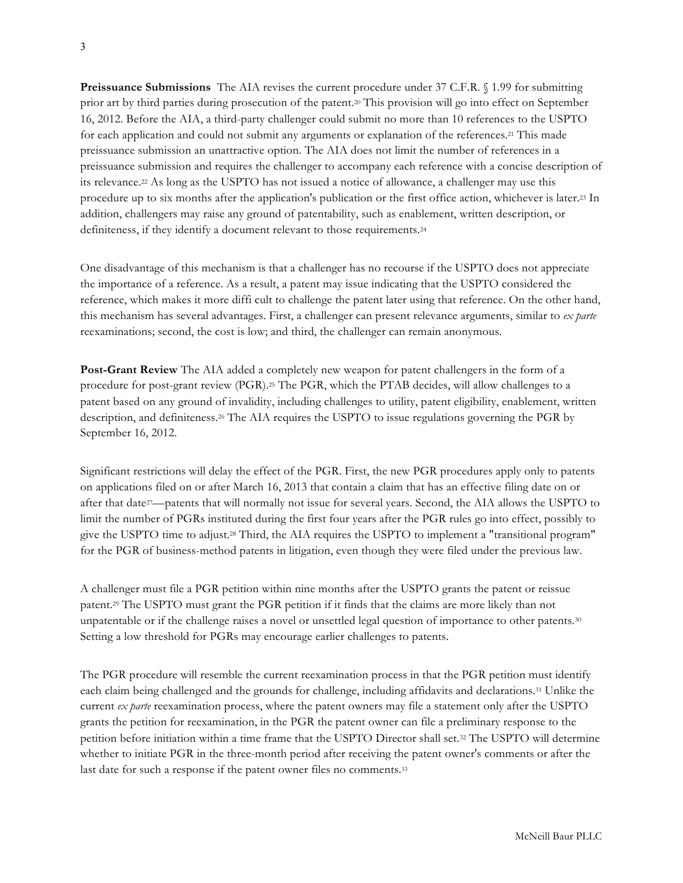**Preissuance Submissions** The AIA revises the current procedure under 37 C.F.R. § 1.99 for submitting prior art by third parties during prosecution of the patent.20 This provision will go into effect on September 16, 2012. Before the AIA, a third-party challenger could submit no more than 10 references to the USPTO for each application and could not submit any arguments or explanation of the references.21 This made preissuance submission an unattractive option. The AIA does not limit the number of references in a preissuance submission and requires the challenger to accompany each reference with a concise description of its relevance.22 As long as the USPTO has not issued a notice of allowance, a challenger may use this procedure up to six months after the application's publication or the first office action, whichever is later.23 In addition, challengers may raise any ground of patentability, such as enablement, written description, or definiteness, if they identify a document relevant to those requirements.24

One disadvantage of this mechanism is that a challenger has no recourse if the USPTO does not appreciate the importance of a reference. As a result, a patent may issue indicating that the USPTO considered the reference, which makes it more diffi cult to challenge the patent later using that reference. On the other hand, this mechanism has several advantages. First, a challenger can present relevance arguments, similar to *ex parte*  reexaminations; second, the cost is low; and third, the challenger can remain anonymous.

**Post-Grant Review** The AIA added a completely new weapon for patent challengers in the form of a procedure for post-grant review (PGR).25 The PGR, which the PTAB decides, will allow challenges to a patent based on any ground of invalidity, including challenges to utility, patent eligibility, enablement, written description, and definiteness.26 The AIA requires the USPTO to issue regulations governing the PGR by September 16, 2012.

Significant restrictions will delay the effect of the PGR. First, the new PGR procedures apply only to patents on applications filed on or after March 16, 2013 that contain a claim that has an effective filing date on or after that date27—patents that will normally not issue for several years. Second, the AIA allows the USPTO to limit the number of PGRs instituted during the first four years after the PGR rules go into effect, possibly to give the USPTO time to adjust.28 Third, the AIA requires the USPTO to implement a "transitional program" for the PGR of business-method patents in litigation, even though they were filed under the previous law.

A challenger must file a PGR petition within nine months after the USPTO grants the patent or reissue patent.29 The USPTO must grant the PGR petition if it finds that the claims are more likely than not unpatentable or if the challenge raises a novel or unsettled legal question of importance to other patents.30 Setting a low threshold for PGRs may encourage earlier challenges to patents.

The PGR procedure will resemble the current reexamination process in that the PGR petition must identify each claim being challenged and the grounds for challenge, including affidavits and declarations.31 Unlike the current *ex parte* reexamination process, where the patent owners may file a statement only after the USPTO grants the petition for reexamination, in the PGR the patent owner can file a preliminary response to the petition before initiation within a time frame that the USPTO Director shall set.32 The USPTO will determine whether to initiate PGR in the three-month period after receiving the patent owner's comments or after the last date for such a response if the patent owner files no comments.<sup>33</sup>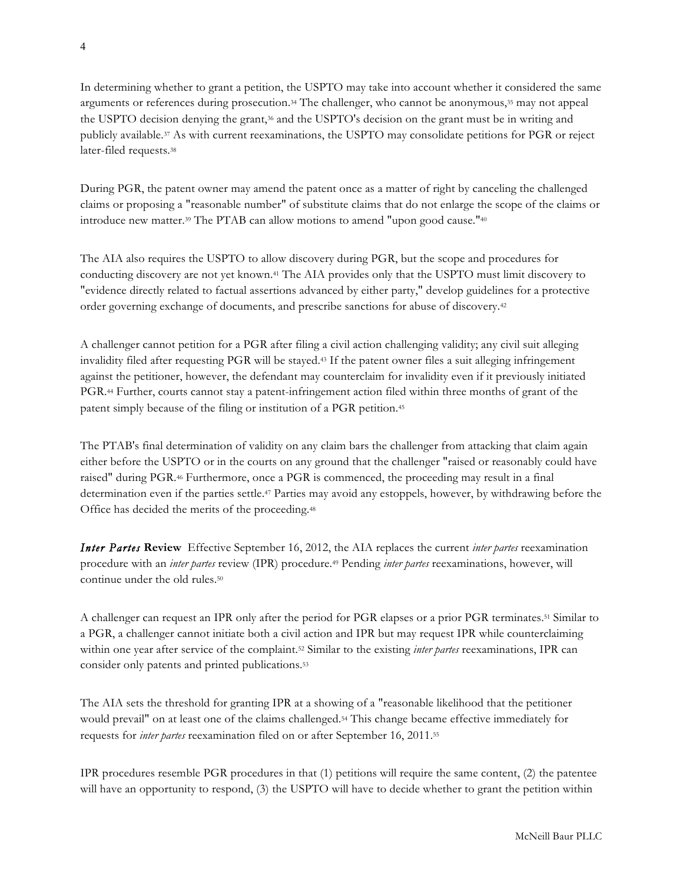In determining whether to grant a petition, the USPTO may take into account whether it considered the same arguments or references during prosecution.34 The challenger, who cannot be anonymous,35 may not appeal the USPTO decision denying the grant,36 and the USPTO's decision on the grant must be in writing and publicly available.37 As with current reexaminations, the USPTO may consolidate petitions for PGR or reject later-filed requests.38

During PGR, the patent owner may amend the patent once as a matter of right by canceling the challenged claims or proposing a "reasonable number" of substitute claims that do not enlarge the scope of the claims or introduce new matter.39 The PTAB can allow motions to amend "upon good cause."40

The AIA also requires the USPTO to allow discovery during PGR, but the scope and procedures for conducting discovery are not yet known.41 The AIA provides only that the USPTO must limit discovery to "evidence directly related to factual assertions advanced by either party," develop guidelines for a protective order governing exchange of documents, and prescribe sanctions for abuse of discovery.42

A challenger cannot petition for a PGR after filing a civil action challenging validity; any civil suit alleging invalidity filed after requesting PGR will be stayed.43 If the patent owner files a suit alleging infringement against the petitioner, however, the defendant may counterclaim for invalidity even if it previously initiated PGR.44 Further, courts cannot stay a patent-infringement action filed within three months of grant of the patent simply because of the filing or institution of a PGR petition.45

The PTAB's final determination of validity on any claim bars the challenger from attacking that claim again either before the USPTO or in the courts on any ground that the challenger "raised or reasonably could have raised" during PGR.46 Furthermore, once a PGR is commenced, the proceeding may result in a final determination even if the parties settle.47 Parties may avoid any estoppels, however, by withdrawing before the Office has decided the merits of the proceeding.48

*Inter Partes* **Review** Effective September 16, 2012, the AIA replaces the current *inter partes* reexamination procedure with an *inter partes* review (IPR) procedure.49 Pending *inter partes* reexaminations, however, will continue under the old rules.50

A challenger can request an IPR only after the period for PGR elapses or a prior PGR terminates.51 Similar to a PGR, a challenger cannot initiate both a civil action and IPR but may request IPR while counterclaiming within one year after service of the complaint.52 Similar to the existing *inter partes* reexaminations, IPR can consider only patents and printed publications.53

The AIA sets the threshold for granting IPR at a showing of a "reasonable likelihood that the petitioner would prevail" on at least one of the claims challenged.54 This change became effective immediately for requests for *inter partes* reexamination filed on or after September 16, 2011.55

IPR procedures resemble PGR procedures in that (1) petitions will require the same content, (2) the patentee will have an opportunity to respond, (3) the USPTO will have to decide whether to grant the petition within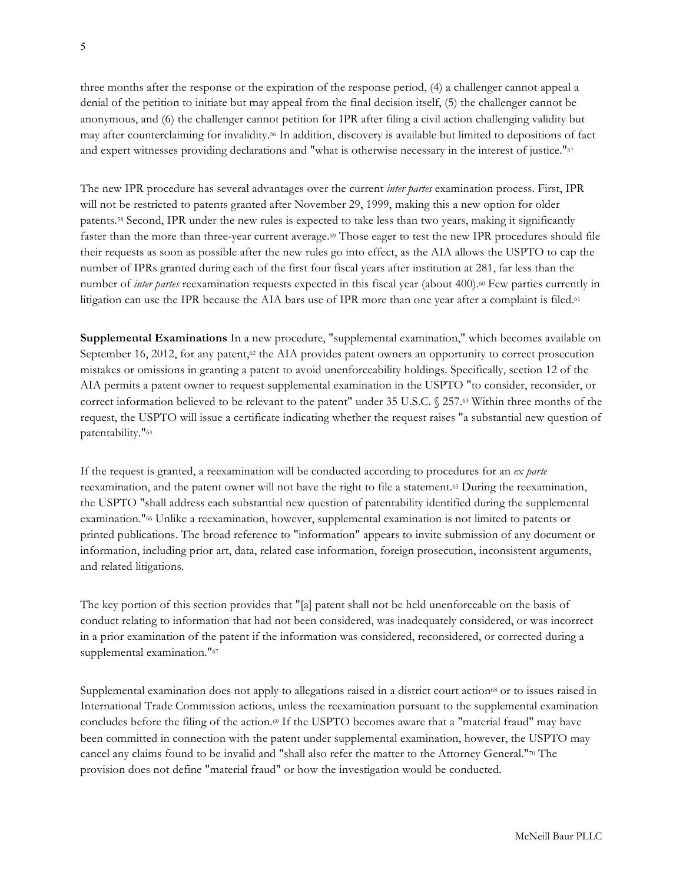three months after the response or the expiration of the response period, (4) a challenger cannot appeal a denial of the petition to initiate but may appeal from the final decision itself, (5) the challenger cannot be anonymous, and (6) the challenger cannot petition for IPR after filing a civil action challenging validity but may after counterclaiming for invalidity.56 In addition, discovery is available but limited to depositions of fact and expert witnesses providing declarations and "what is otherwise necessary in the interest of justice."57

The new IPR procedure has several advantages over the current *inter partes* examination process. First, IPR will not be restricted to patents granted after November 29, 1999, making this a new option for older patents.58 Second, IPR under the new rules is expected to take less than two years, making it significantly faster than the more than three-year current average.59 Those eager to test the new IPR procedures should file their requests as soon as possible after the new rules go into effect, as the AIA allows the USPTO to cap the number of IPRs granted during each of the first four fiscal years after institution at 281, far less than the number of *inter partes* reexamination requests expected in this fiscal year (about 400).<sup>60</sup> Few parties currently in litigation can use the IPR because the AIA bars use of IPR more than one year after a complaint is filed.<sup>61</sup>

**Supplemental Examinations** In a new procedure, "supplemental examination," which becomes available on September 16, 2012, for any patent, $\mathcal{P}$  the AIA provides patent owners an opportunity to correct prosecution mistakes or omissions in granting a patent to avoid unenforceability holdings. Specifically, section 12 of the AIA permits a patent owner to request supplemental examination in the USPTO "to consider, reconsider, or correct information believed to be relevant to the patent" under 35 U.S.C. § 257.63 Within three months of the request, the USPTO will issue a certificate indicating whether the request raises "a substantial new question of patentability."64

If the request is granted, a reexamination will be conducted according to procedures for an *ex parte*  reexamination, and the patent owner will not have the right to file a statement.65 During the reexamination, the USPTO "shall address each substantial new question of patentability identified during the supplemental examination."66 Unlike a reexamination, however, supplemental examination is not limited to patents or printed publications. The broad reference to "information" appears to invite submission of any document or information, including prior art, data, related case information, foreign prosecution, inconsistent arguments, and related litigations.

The key portion of this section provides that "[a] patent shall not be held unenforceable on the basis of conduct relating to information that had not been considered, was inadequately considered, or was incorrect in a prior examination of the patent if the information was considered, reconsidered, or corrected during a supplemental examination."<sup>67</sup>

Supplemental examination does not apply to allegations raised in a district court action<sup>68</sup> or to issues raised in International Trade Commission actions, unless the reexamination pursuant to the supplemental examination concludes before the filing of the action.69 If the USPTO becomes aware that a "material fraud" may have been committed in connection with the patent under supplemental examination, however, the USPTO may cancel any claims found to be invalid and "shall also refer the matter to the Attorney General."70 The provision does not define "material fraud" or how the investigation would be conducted.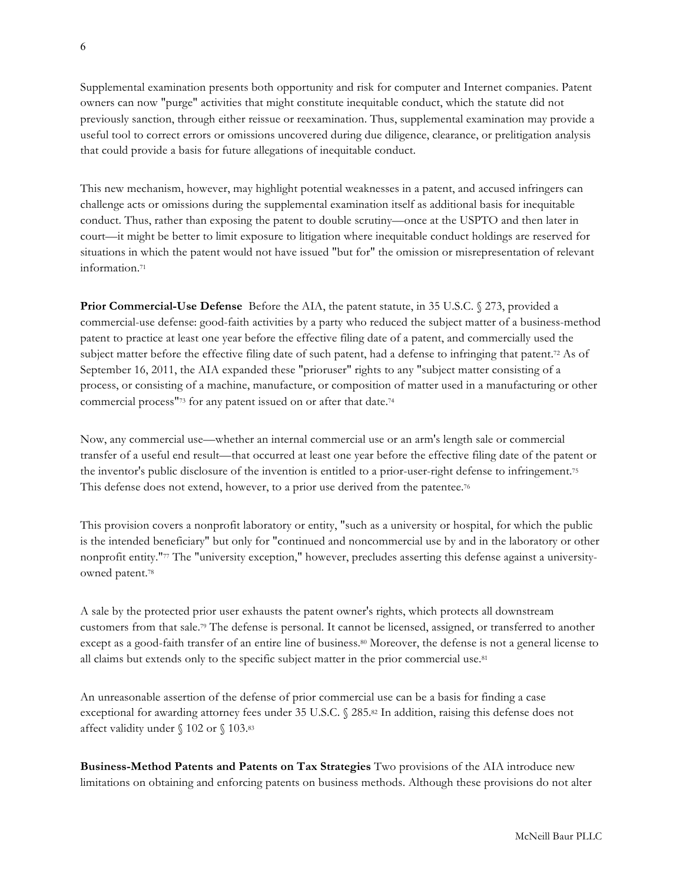Supplemental examination presents both opportunity and risk for computer and Internet companies. Patent owners can now "purge" activities that might constitute inequitable conduct, which the statute did not previously sanction, through either reissue or reexamination. Thus, supplemental examination may provide a useful tool to correct errors or omissions uncovered during due diligence, clearance, or prelitigation analysis that could provide a basis for future allegations of inequitable conduct.

This new mechanism, however, may highlight potential weaknesses in a patent, and accused infringers can challenge acts or omissions during the supplemental examination itself as additional basis for inequitable conduct. Thus, rather than exposing the patent to double scrutiny—once at the USPTO and then later in court—it might be better to limit exposure to litigation where inequitable conduct holdings are reserved for situations in which the patent would not have issued "but for" the omission or misrepresentation of relevant information.71

**Prior Commercial-Use Defense** Before the AIA, the patent statute, in 35 U.S.C. § 273, provided a commercial-use defense: good-faith activities by a party who reduced the subject matter of a business-method patent to practice at least one year before the effective filing date of a patent, and commercially used the subject matter before the effective filing date of such patent, had a defense to infringing that patent.<sup>72</sup> As of September 16, 2011, the AIA expanded these "prioruser" rights to any "subject matter consisting of a process, or consisting of a machine, manufacture, or composition of matter used in a manufacturing or other commercial process"73 for any patent issued on or after that date.74

Now, any commercial use—whether an internal commercial use or an arm's length sale or commercial transfer of a useful end result—that occurred at least one year before the effective filing date of the patent or the inventor's public disclosure of the invention is entitled to a prior-user-right defense to infringement.75 This defense does not extend, however, to a prior use derived from the patentee.76

This provision covers a nonprofit laboratory or entity, "such as a university or hospital, for which the public is the intended beneficiary" but only for "continued and noncommercial use by and in the laboratory or other nonprofit entity."77 The "university exception," however, precludes asserting this defense against a universityowned patent.78

A sale by the protected prior user exhausts the patent owner's rights, which protects all downstream customers from that sale.79 The defense is personal. It cannot be licensed, assigned, or transferred to another except as a good-faith transfer of an entire line of business.80 Moreover, the defense is not a general license to all claims but extends only to the specific subject matter in the prior commercial use.81

An unreasonable assertion of the defense of prior commercial use can be a basis for finding a case exceptional for awarding attorney fees under 35 U.S.C. § 285.82 In addition, raising this defense does not affect validity under § 102 or § 103.83

**Business-Method Patents and Patents on Tax Strategies** Two provisions of the AIA introduce new limitations on obtaining and enforcing patents on business methods. Although these provisions do not alter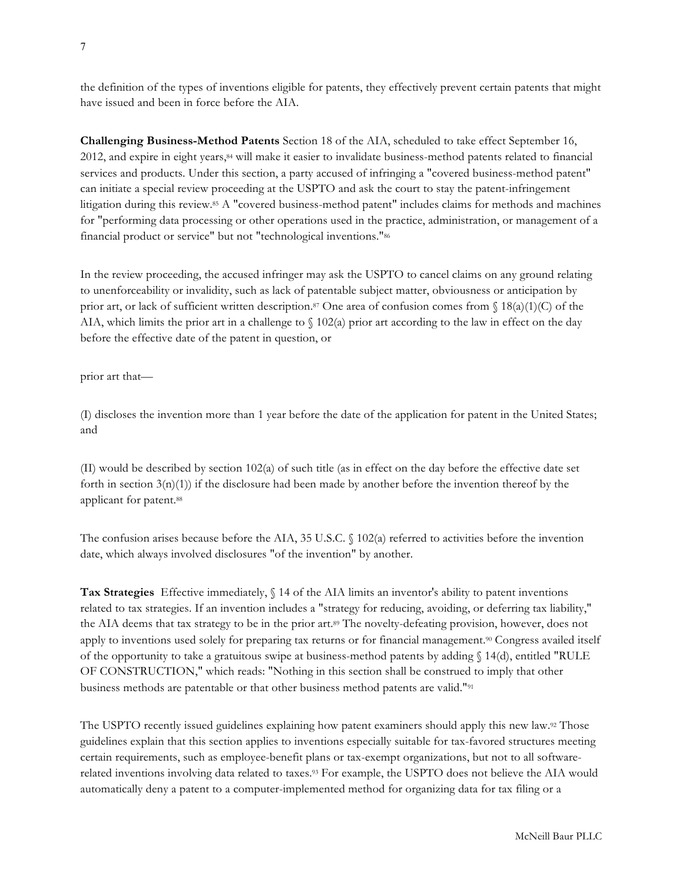the definition of the types of inventions eligible for patents, they effectively prevent certain patents that might have issued and been in force before the AIA.

**Challenging Business-Method Patents** Section 18 of the AIA, scheduled to take effect September 16, 2012, and expire in eight years,84 will make it easier to invalidate business-method patents related to financial services and products. Under this section, a party accused of infringing a "covered business-method patent" can initiate a special review proceeding at the USPTO and ask the court to stay the patent-infringement litigation during this review.85 A "covered business-method patent" includes claims for methods and machines for "performing data processing or other operations used in the practice, administration, or management of a financial product or service" but not "technological inventions."86

In the review proceeding, the accused infringer may ask the USPTO to cancel claims on any ground relating to unenforceability or invalidity, such as lack of patentable subject matter, obviousness or anticipation by prior art, or lack of sufficient written description.<sup>87</sup> One area of confusion comes from  $\{(1)(c)\}$  of the AIA, which limits the prior art in a challenge to  $\{(102(a) \text{ prior art according to the law in effect on the day})\}$ before the effective date of the patent in question, or

prior art that—

(I) discloses the invention more than 1 year before the date of the application for patent in the United States; and

(II) would be described by section 102(a) of such title (as in effect on the day before the effective date set forth in section 3(n)(1)) if the disclosure had been made by another before the invention thereof by the applicant for patent.88

The confusion arises because before the AIA, 35 U.S.C.  $\Diamond$  102(a) referred to activities before the invention date, which always involved disclosures "of the invention" by another.

**Tax Strategies** Effective immediately, § 14 of the AIA limits an inventor's ability to patent inventions related to tax strategies. If an invention includes a "strategy for reducing, avoiding, or deferring tax liability," the AIA deems that tax strategy to be in the prior art.89 The novelty-defeating provision, however, does not apply to inventions used solely for preparing tax returns or for financial management.90 Congress availed itself of the opportunity to take a gratuitous swipe at business-method patents by adding § 14(d), entitled "RULE OF CONSTRUCTION," which reads: "Nothing in this section shall be construed to imply that other business methods are patentable or that other business method patents are valid."91

The USPTO recently issued guidelines explaining how patent examiners should apply this new law.92 Those guidelines explain that this section applies to inventions especially suitable for tax-favored structures meeting certain requirements, such as employee-benefit plans or tax-exempt organizations, but not to all softwarerelated inventions involving data related to taxes.93 For example, the USPTO does not believe the AIA would automatically deny a patent to a computer-implemented method for organizing data for tax filing or a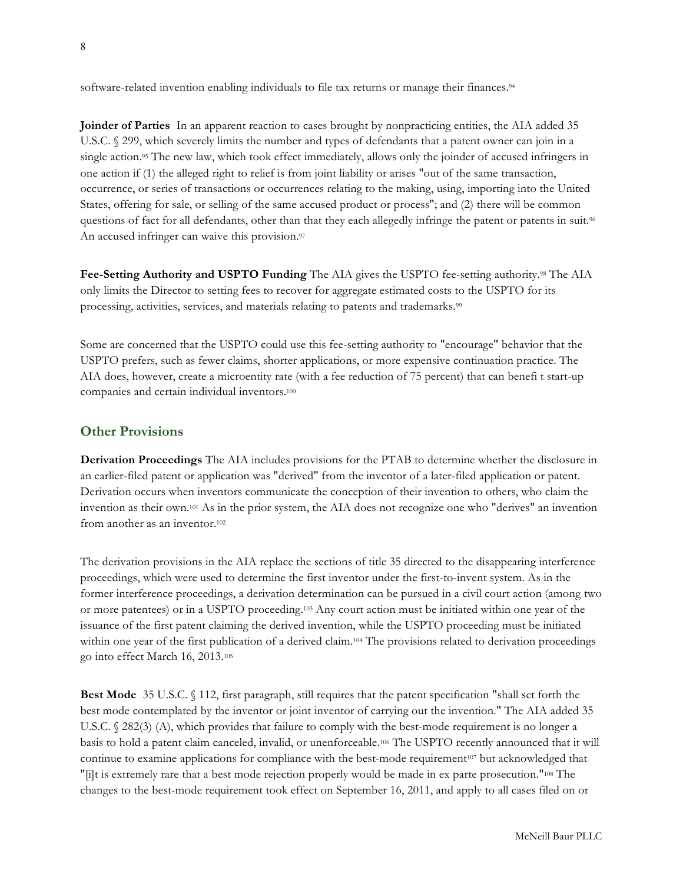software-related invention enabling individuals to file tax returns or manage their finances.<sup>94</sup>

**Joinder of Parties** In an apparent reaction to cases brought by nonpracticing entities, the AIA added 35 U.S.C. § 299, which severely limits the number and types of defendants that a patent owner can join in a single action.<sup>95</sup> The new law, which took effect immediately, allows only the joinder of accused infringers in one action if (1) the alleged right to relief is from joint liability or arises "out of the same transaction, occurrence, or series of transactions or occurrences relating to the making, using, importing into the United States, offering for sale, or selling of the same accused product or process"; and (2) there will be common questions of fact for all defendants, other than that they each allegedly infringe the patent or patents in suit.<sup>96</sup> An accused infringer can waive this provision.<sup>97</sup>

**Fee-Setting Authority and USPTO Funding** The AIA gives the USPTO fee-setting authority.98 The AIA only limits the Director to setting fees to recover for aggregate estimated costs to the USPTO for its processing, activities, services, and materials relating to patents and trademarks.99

Some are concerned that the USPTO could use this fee-setting authority to "encourage" behavior that the USPTO prefers, such as fewer claims, shorter applications, or more expensive continuation practice. The AIA does, however, create a microentity rate (with a fee reduction of 75 percent) that can benefi t start-up companies and certain individual inventors.100

### **Other Provisions**

**Derivation Proceedings** The AIA includes provisions for the PTAB to determine whether the disclosure in an earlier-filed patent or application was "derived" from the inventor of a later-filed application or patent. Derivation occurs when inventors communicate the conception of their invention to others, who claim the invention as their own.101 As in the prior system, the AIA does not recognize one who "derives" an invention from another as an inventor.102

The derivation provisions in the AIA replace the sections of title 35 directed to the disappearing interference proceedings, which were used to determine the first inventor under the first-to-invent system. As in the former interference proceedings, a derivation determination can be pursued in a civil court action (among two or more patentees) or in a USPTO proceeding.103 Any court action must be initiated within one year of the issuance of the first patent claiming the derived invention, while the USPTO proceeding must be initiated within one year of the first publication of a derived claim.<sup>104</sup> The provisions related to derivation proceedings go into effect March 16, 2013.105

**Best Mode** 35 U.S.C. § 112, first paragraph, still requires that the patent specification "shall set forth the best mode contemplated by the inventor or joint inventor of carrying out the invention." The AIA added 35 U.S.C. § 282(3) (A), which provides that failure to comply with the best-mode requirement is no longer a basis to hold a patent claim canceled, invalid, or unenforceable.106 The USPTO recently announced that it will continue to examine applications for compliance with the best-mode requirement107 but acknowledged that "[i]t is extremely rare that a best mode rejection properly would be made in ex parte prosecution."108 The changes to the best-mode requirement took effect on September 16, 2011, and apply to all cases filed on or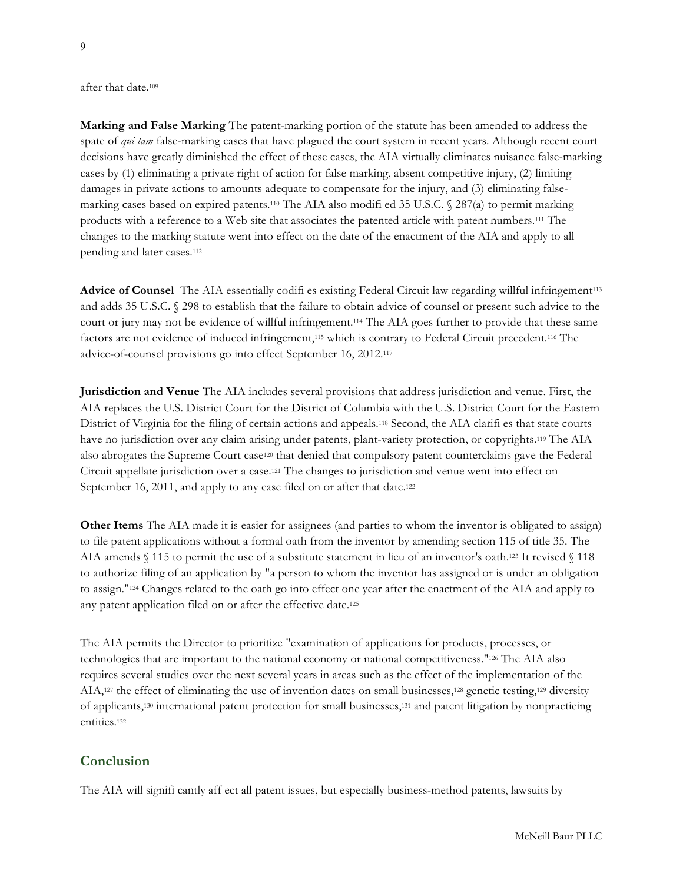after that date.109

**Marking and False Marking** The patent-marking portion of the statute has been amended to address the spate of *qui tam* false-marking cases that have plagued the court system in recent years. Although recent court decisions have greatly diminished the effect of these cases, the AIA virtually eliminates nuisance false-marking cases by (1) eliminating a private right of action for false marking, absent competitive injury, (2) limiting damages in private actions to amounts adequate to compensate for the injury, and (3) eliminating falsemarking cases based on expired patents.<sup>110</sup> The AIA also modified 35 U.S.C.  $\sqrt{}$  287(a) to permit marking products with a reference to a Web site that associates the patented article with patent numbers.111 The changes to the marking statute went into effect on the date of the enactment of the AIA and apply to all pending and later cases.112

**Advice of Counsel** The AIA essentially codifi es existing Federal Circuit law regarding willful infringement113 and adds 35 U.S.C. § 298 to establish that the failure to obtain advice of counsel or present such advice to the court or jury may not be evidence of willful infringement.114 The AIA goes further to provide that these same factors are not evidence of induced infringement,115 which is contrary to Federal Circuit precedent.116 The advice-of-counsel provisions go into effect September 16, 2012.117

**Jurisdiction and Venue** The AIA includes several provisions that address jurisdiction and venue. First, the AIA replaces the U.S. District Court for the District of Columbia with the U.S. District Court for the Eastern District of Virginia for the filing of certain actions and appeals.118 Second, the AIA clarifi es that state courts have no jurisdiction over any claim arising under patents, plant-variety protection, or copyrights.119 The AIA also abrogates the Supreme Court case120 that denied that compulsory patent counterclaims gave the Federal Circuit appellate jurisdiction over a case.121 The changes to jurisdiction and venue went into effect on September 16, 2011, and apply to any case filed on or after that date.<sup>122</sup>

**Other Items** The AIA made it is easier for assignees (and parties to whom the inventor is obligated to assign) to file patent applications without a formal oath from the inventor by amending section 115 of title 35. The AIA amends § 115 to permit the use of a substitute statement in lieu of an inventor's oath.123 It revised § 118 to authorize filing of an application by "a person to whom the inventor has assigned or is under an obligation to assign."124 Changes related to the oath go into effect one year after the enactment of the AIA and apply to any patent application filed on or after the effective date.125

The AIA permits the Director to prioritize "examination of applications for products, processes, or technologies that are important to the national economy or national competitiveness."126 The AIA also requires several studies over the next several years in areas such as the effect of the implementation of the AIA,127 the effect of eliminating the use of invention dates on small businesses,128 genetic testing,129 diversity of applicants,130 international patent protection for small businesses,131 and patent litigation by nonpracticing entities.132

### **Conclusion**

The AIA will signifi cantly aff ect all patent issues, but especially business-method patents, lawsuits by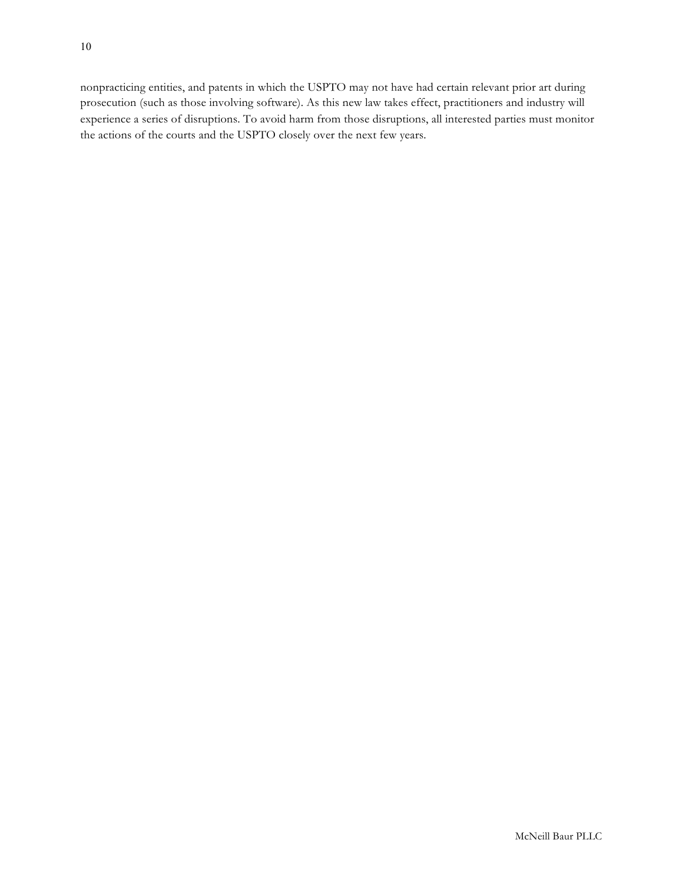nonpracticing entities, and patents in which the USPTO may not have had certain relevant prior art during prosecution (such as those involving software). As this new law takes effect, practitioners and industry will experience a series of disruptions. To avoid harm from those disruptions, all interested parties must monitor the actions of the courts and the USPTO closely over the next few years.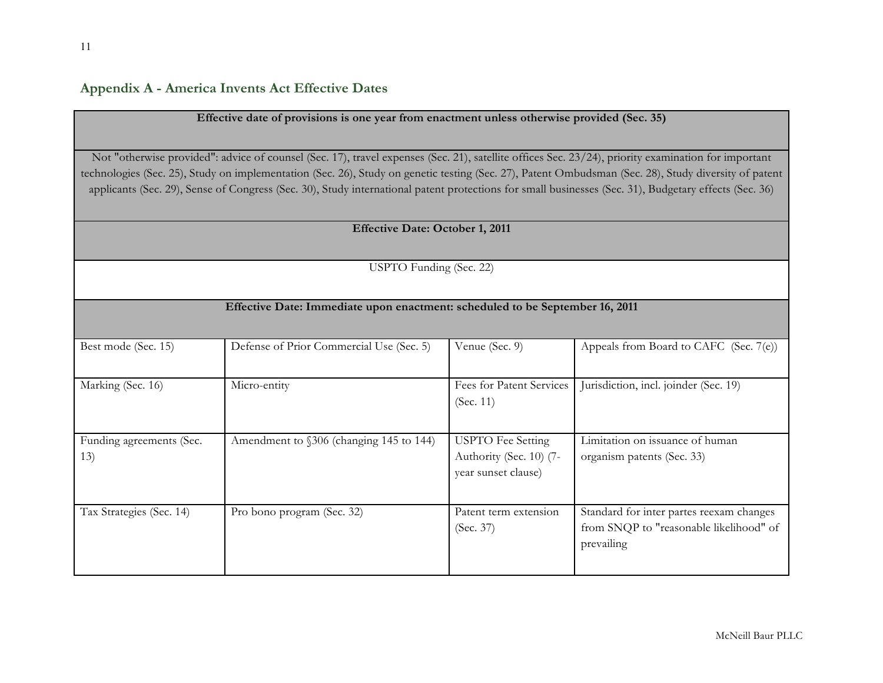**Appendix A - America Invents Act Effective Dates**

| Effective date of provisions is one year from enactment unless otherwise provided (Sec. 35)                                                         |                                                                                                                                                                                                                                                                                                               |                                                |                                                       |  |  |  |  |
|-----------------------------------------------------------------------------------------------------------------------------------------------------|---------------------------------------------------------------------------------------------------------------------------------------------------------------------------------------------------------------------------------------------------------------------------------------------------------------|------------------------------------------------|-------------------------------------------------------|--|--|--|--|
|                                                                                                                                                     |                                                                                                                                                                                                                                                                                                               |                                                |                                                       |  |  |  |  |
|                                                                                                                                                     |                                                                                                                                                                                                                                                                                                               |                                                |                                                       |  |  |  |  |
| Not "otherwise provided": advice of counsel (Sec. 17), travel expenses (Sec. 21), satellite offices Sec. 23/24), priority examination for important |                                                                                                                                                                                                                                                                                                               |                                                |                                                       |  |  |  |  |
|                                                                                                                                                     | technologies (Sec. 25), Study on implementation (Sec. 26), Study on genetic testing (Sec. 27), Patent Ombudsman (Sec. 28), Study diversity of patent<br>applicants (Sec. 29), Sense of Congress (Sec. 30), Study international patent protections for small businesses (Sec. 31), Budgetary effects (Sec. 36) |                                                |                                                       |  |  |  |  |
| <b>Effective Date: October 1, 2011</b>                                                                                                              |                                                                                                                                                                                                                                                                                                               |                                                |                                                       |  |  |  |  |
|                                                                                                                                                     |                                                                                                                                                                                                                                                                                                               |                                                |                                                       |  |  |  |  |
| USPTO Funding (Sec. 22)                                                                                                                             |                                                                                                                                                                                                                                                                                                               |                                                |                                                       |  |  |  |  |
| Effective Date: Immediate upon enactment: scheduled to be September 16, 2011                                                                        |                                                                                                                                                                                                                                                                                                               |                                                |                                                       |  |  |  |  |
| Best mode (Sec. 15)                                                                                                                                 | Defense of Prior Commercial Use (Sec. 5)                                                                                                                                                                                                                                                                      | Venue (Sec. 9)                                 | Appeals from Board to CAFC (Sec. 7(e))                |  |  |  |  |
| Marking (Sec. 16)                                                                                                                                   | Micro-entity                                                                                                                                                                                                                                                                                                  | Fees for Patent Services                       | Jurisdiction, incl. joinder (Sec. 19)                 |  |  |  |  |
|                                                                                                                                                     |                                                                                                                                                                                                                                                                                                               | (Sec. 11)                                      |                                                       |  |  |  |  |
| Funding agreements (Sec.                                                                                                                            | Amendment to §306 (changing 145 to 144)                                                                                                                                                                                                                                                                       | <b>USPTO</b> Fee Setting                       | Limitation on issuance of human                       |  |  |  |  |
| 13)                                                                                                                                                 |                                                                                                                                                                                                                                                                                                               | Authority (Sec. 10) (7-<br>year sunset clause) | organism patents (Sec. 33)                            |  |  |  |  |
| Tax Strategies (Sec. 14)                                                                                                                            | Pro bono program (Sec. 32)                                                                                                                                                                                                                                                                                    | Patent term extension                          | Standard for inter partes reexam changes              |  |  |  |  |
|                                                                                                                                                     |                                                                                                                                                                                                                                                                                                               | (Sec. 37)                                      | from SNQP to "reasonable likelihood" of<br>prevailing |  |  |  |  |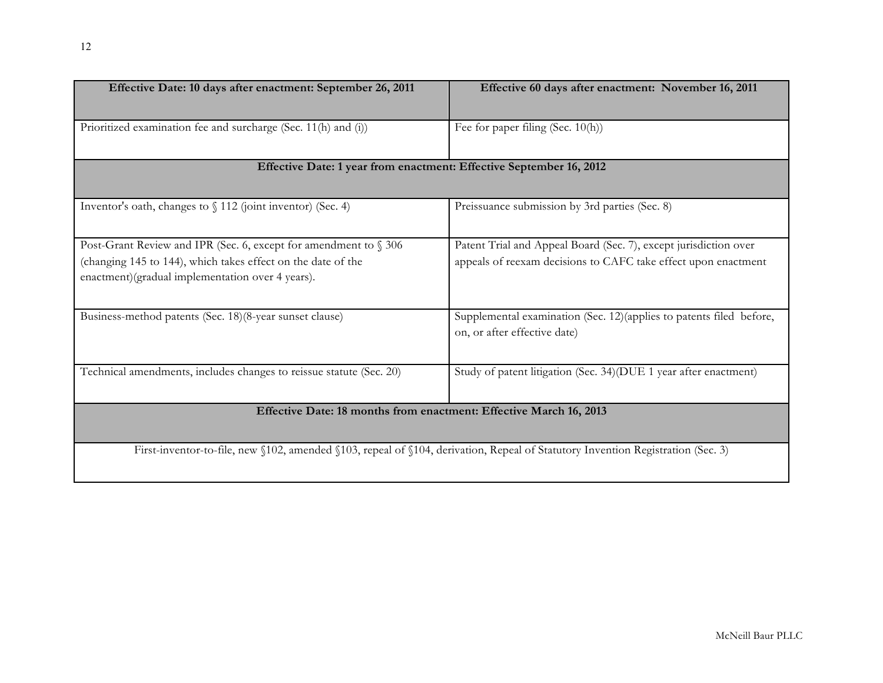| Effective Date: 10 days after enactment: September 26, 2011                                                                        | Effective 60 days after enactment: November 16, 2011                                                 |  |  |  |  |  |
|------------------------------------------------------------------------------------------------------------------------------------|------------------------------------------------------------------------------------------------------|--|--|--|--|--|
|                                                                                                                                    |                                                                                                      |  |  |  |  |  |
| Prioritized examination fee and surcharge (Sec. 11(h) and (i))                                                                     | Fee for paper filing (Sec. 10(h))                                                                    |  |  |  |  |  |
| Effective Date: 1 year from enactment: Effective September 16, 2012                                                                |                                                                                                      |  |  |  |  |  |
| Inventor's oath, changes to § 112 (joint inventor) (Sec. 4)                                                                        | Preissuance submission by 3rd parties (Sec. 8)                                                       |  |  |  |  |  |
| Post-Grant Review and IPR (Sec. 6, except for amendment to § 306                                                                   | Patent Trial and Appeal Board (Sec. 7), except jurisdiction over                                     |  |  |  |  |  |
| (changing 145 to 144), which takes effect on the date of the<br>enactment)(gradual implementation over 4 years).                   | appeals of reexam decisions to CAFC take effect upon enactment                                       |  |  |  |  |  |
| Business-method patents (Sec. 18)(8-year sunset clause)                                                                            | Supplemental examination (Sec. 12) (applies to patents filed before,<br>on, or after effective date) |  |  |  |  |  |
| Technical amendments, includes changes to reissue statute (Sec. 20)                                                                | Study of patent litigation (Sec. 34)(DUE 1 year after enactment)                                     |  |  |  |  |  |
| Effective Date: 18 months from enactment: Effective March 16, 2013                                                                 |                                                                                                      |  |  |  |  |  |
| First-inventor-to-file, new \$102, amended \$103, repeal of \$104, derivation, Repeal of Statutory Invention Registration (Sec. 3) |                                                                                                      |  |  |  |  |  |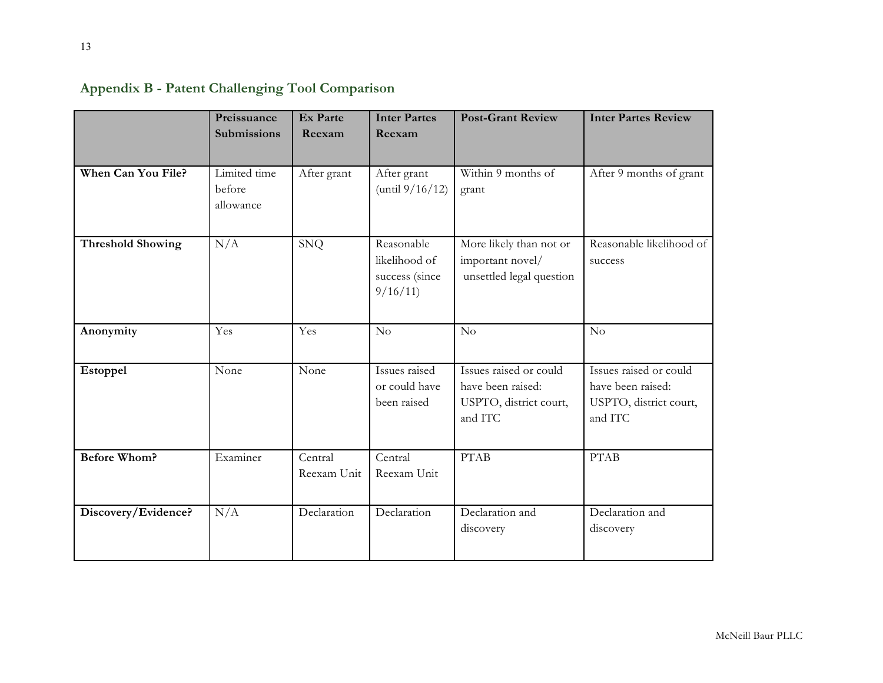|                          | Preissuance<br><b>Submissions</b>   | <b>Ex Parte</b><br>Reexam | <b>Inter Partes</b><br>Reexam                            | <b>Post-Grant Review</b>                                                         | <b>Inter Partes Review</b>                                                       |
|--------------------------|-------------------------------------|---------------------------|----------------------------------------------------------|----------------------------------------------------------------------------------|----------------------------------------------------------------------------------|
| When Can You File?       | Limited time<br>before<br>allowance | After grant               | After grant<br>(until $9/16/12$ )                        | Within 9 months of<br>grant                                                      | After 9 months of grant                                                          |
| <b>Threshold Showing</b> | N/A                                 | <b>SNQ</b>                | Reasonable<br>likelihood of<br>success (since<br>9/16/11 | More likely than not or<br>important novel/<br>unsettled legal question          | Reasonable likelihood of<br>success                                              |
| Anonymity                | Yes                                 | Yes                       | No                                                       | No                                                                               | No                                                                               |
| Estoppel                 | None                                | None                      | Issues raised<br>or could have<br>been raised            | Issues raised or could<br>have been raised:<br>USPTO, district court,<br>and ITC | Issues raised or could<br>have been raised:<br>USPTO, district court,<br>and ITC |
| <b>Before Whom?</b>      | Examiner                            | Central<br>Reexam Unit    | Central<br>Reexam Unit                                   | <b>PTAB</b>                                                                      | <b>PTAB</b>                                                                      |
| Discovery/Evidence?      | N/A                                 | Declaration               | Declaration                                              | Declaration and<br>discovery                                                     | Declaration and<br>discovery                                                     |

**Appendix B - Patent Challenging Tool Comparison**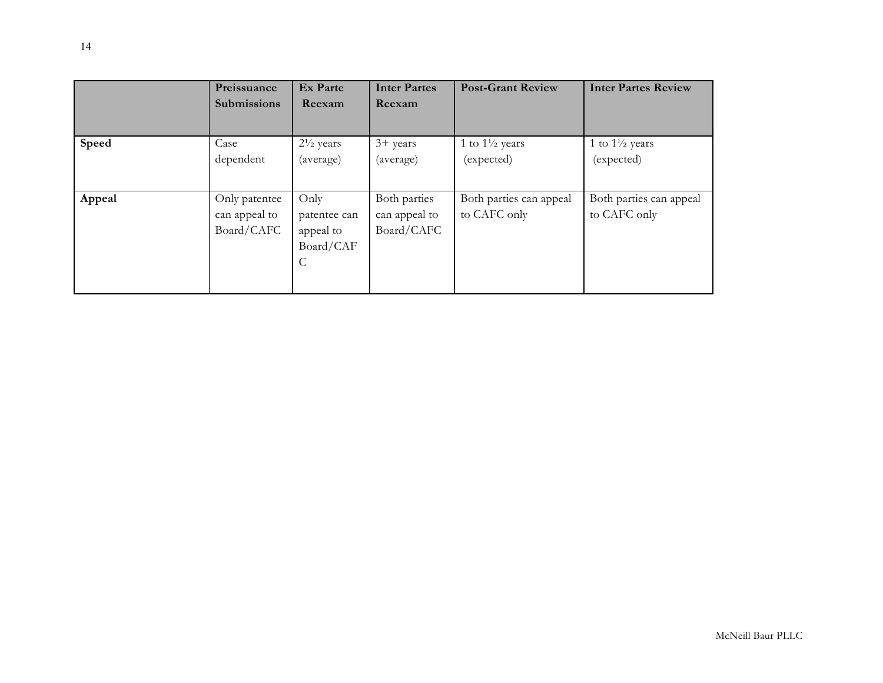|        | Preissuance<br><b>Submissions</b>            | <b>Ex Parte</b><br>Reexam                                       | <b>Inter Partes</b><br>Reexam               | <b>Post-Grant Review</b>                | <b>Inter Partes Review</b>              |
|--------|----------------------------------------------|-----------------------------------------------------------------|---------------------------------------------|-----------------------------------------|-----------------------------------------|
| Speed  | Case<br>dependent                            | $2\frac{1}{2}$ years<br>(average)                               | $3+$ years<br>(average)                     | 1 to $1\frac{1}{2}$ years<br>(expected) | 1 to $1\frac{1}{2}$ years<br>(expected) |
| Appeal | Only patentee<br>can appeal to<br>Board/CAFC | Only<br>patentee can<br>appeal to<br>Board/CAF<br>$\mathcal{C}$ | Both parties<br>can appeal to<br>Board/CAFC | Both parties can appeal<br>to CAFC only | Both parties can appeal<br>to CAFC only |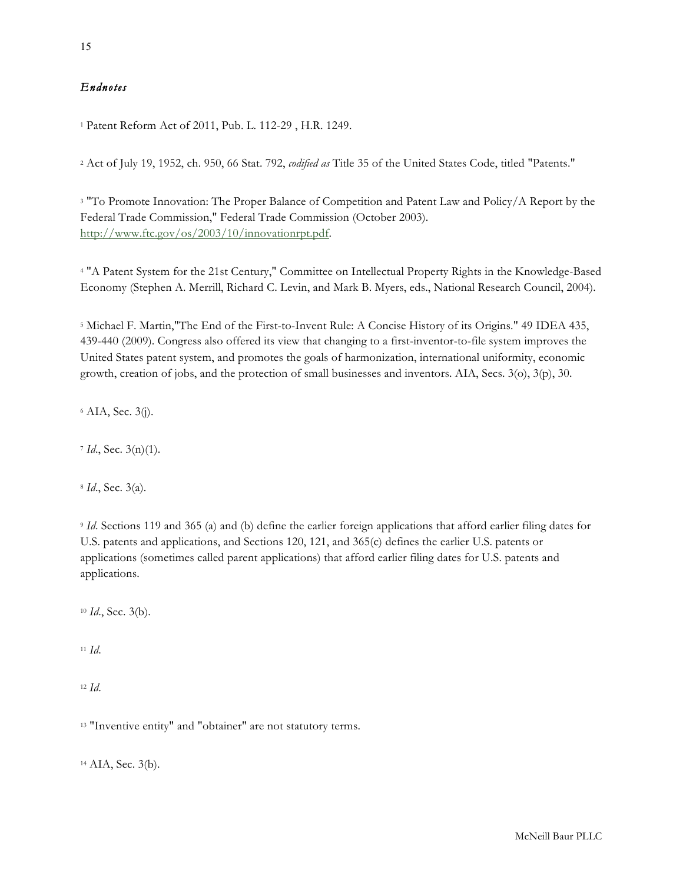### *Endnotes*

<sup>1</sup> Patent Reform Act of 2011, Pub. L. 112-29 , H.R. 1249.

<sup>2</sup> Act of July 19, 1952, ch. 950, 66 Stat. 792, *codified as* Title 35 of the United States Code, titled "Patents."

<sup>3</sup> "To Promote Innovation: The Proper Balance of Competition and Patent Law and Policy/A Report by the Federal Trade Commission," Federal Trade Commission (October 2003). http://www.ftc.gov/os/2003/10/innovationrpt.pdf.

<sup>4</sup> "A Patent System for the 21st Century," Committee on Intellectual Property Rights in the Knowledge-Based Economy (Stephen A. Merrill, Richard C. Levin, and Mark B. Myers, eds., National Research Council, 2004).

<sup>5</sup> Michael F. Martin,"The End of the First-to-Invent Rule: A Concise History of its Origins." 49 IDEA 435, 439-440 (2009). Congress also offered its view that changing to a first-inventor-to-file system improves the United States patent system, and promotes the goals of harmonization, international uniformity, economic growth, creation of jobs, and the protection of small businesses and inventors. AIA, Secs. 3(o), 3(p), 30.

 $6$  AIA, Sec.  $3(j)$ .

<sup>7</sup> *Id*., Sec. 3(n)(1).

<sup>8</sup> *Id*., Sec. 3(a).

<sup>9</sup> *Id*. Sections 119 and 365 (a) and (b) define the earlier foreign applications that afford earlier filing dates for U.S. patents and applications, and Sections 120, 121, and 365(c) defines the earlier U.S. patents or applications (sometimes called parent applications) that afford earlier filing dates for U.S. patents and applications.

<sup>10</sup> *Id*., Sec. 3(b).

<sup>11</sup> *Id*.

<sup>12</sup> *Id*.

<sup>13</sup> "Inventive entity" and "obtainer" are not statutory terms.

<sup>14</sup> AIA, Sec. 3(b).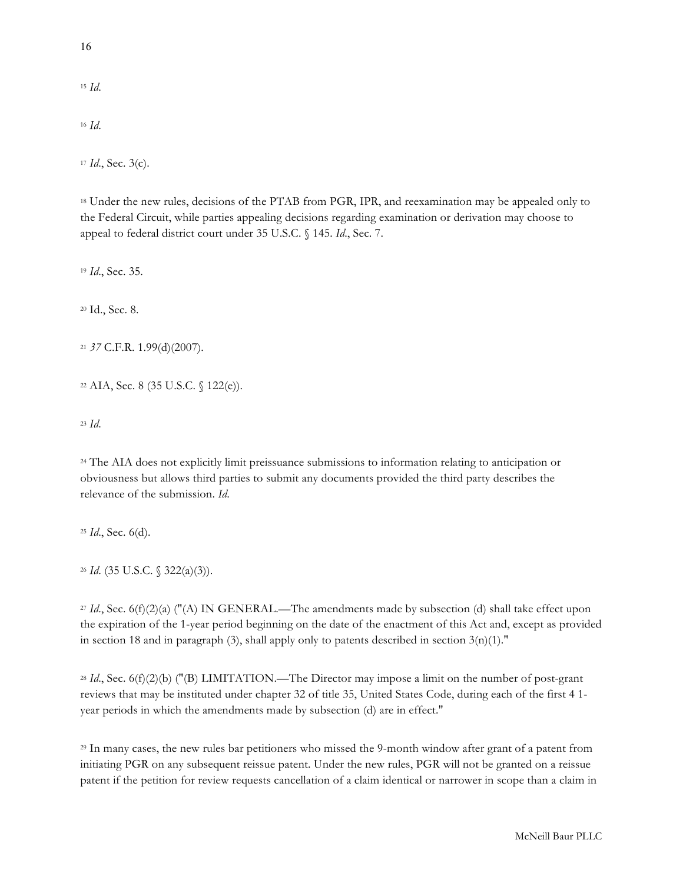<sup>15</sup> *Id*. <sup>16</sup> *Id*.

<sup>17</sup> *Id*., Sec. 3(c).

<sup>18</sup> Under the new rules, decisions of the PTAB from PGR, IPR, and reexamination may be appealed only to the Federal Circuit, while parties appealing decisions regarding examination or derivation may choose to appeal to federal district court under 35 U.S.C. § 145. *Id*., Sec. 7.

<sup>19</sup> *Id*., Sec. 35.

<sup>20</sup> Id., Sec. 8.

<sup>21</sup> *37* C.F.R. 1.99(d)(2007).

<sup>22</sup> AIA, Sec. 8 (35 U.S.C. § 122(e)).

<sup>23</sup> *Id*.

<sup>24</sup> The AIA does not explicitly limit preissuance submissions to information relating to anticipation or obviousness but allows third parties to submit any documents provided the third party describes the relevance of the submission. *Id*.

<sup>25</sup> *Id*., Sec. 6(d).

<sup>26</sup> *Id*. (35 U.S.C. § 322(a)(3)).

<sup>27</sup> *Id*., Sec. 6(f)(2)(a) ("(A) IN GENERAL.—The amendments made by subsection (d) shall take effect upon the expiration of the 1-year period beginning on the date of the enactment of this Act and, except as provided in section 18 and in paragraph (3), shall apply only to patents described in section  $3(n)(1)$ ."

<sup>28</sup> *Id*., Sec. 6(f)(2)(b) ("(B) LIMITATION.—The Director may impose a limit on the number of post-grant reviews that may be instituted under chapter 32 of title 35, United States Code, during each of the first 4 1 year periods in which the amendments made by subsection (d) are in effect."

<sup>29</sup> In many cases, the new rules bar petitioners who missed the 9-month window after grant of a patent from initiating PGR on any subsequent reissue patent. Under the new rules, PGR will not be granted on a reissue patent if the petition for review requests cancellation of a claim identical or narrower in scope than a claim in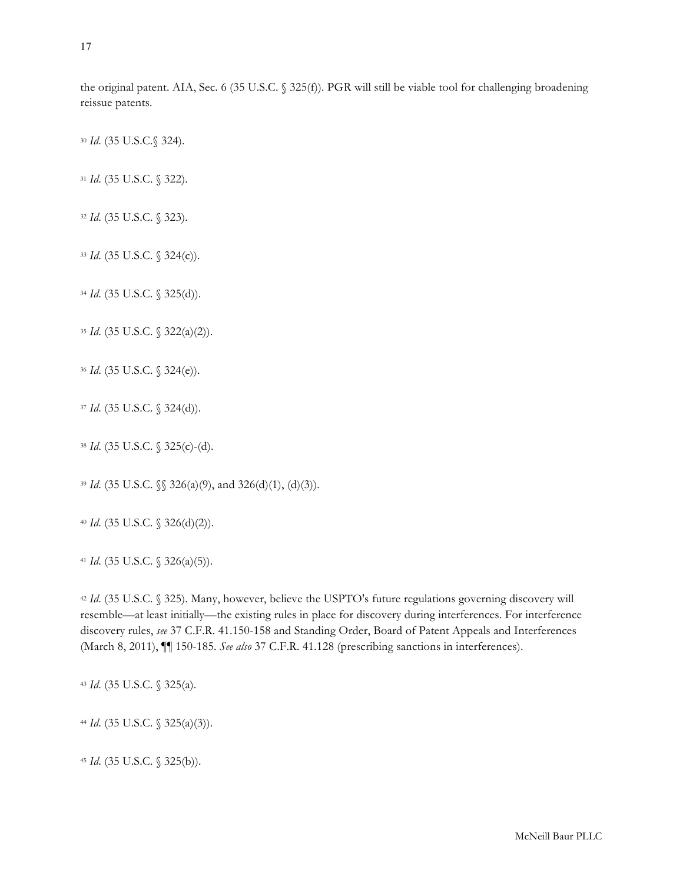the original patent. AIA, Sec. 6 (35 U.S.C. § 325(f)). PGR will still be viable tool for challenging broadening reissue patents.

*Id*. (35 U.S.C.§ 324).

*Id*. (35 U.S.C. § 322).

*Id*. (35 U.S.C. § 323).

*Id*. (35 U.S.C. § 324(c)).

*Id*. (35 U.S.C. § 325(d)).

*Id*. (35 U.S.C. § 322(a)(2)).

*Id*. (35 U.S.C. § 324(e)).

*Id*. (35 U.S.C. § 324(d)).

*Id*. (35 U.S.C. § 325(c)-(d).

*Id*. (35 U.S.C. §§ 326(a)(9), and 326(d)(1), (d)(3)).

*Id*. (35 U.S.C. § 326(d)(2)).

*Id*. (35 U.S.C. § 326(a)(5)).

 *Id*. (35 U.S.C. § 325). Many, however, believe the USPTO's future regulations governing discovery will resemble—at least initially—the existing rules in place for discovery during interferences. For interference discovery rules, *see* 37 C.F.R. 41.150-158 and Standing Order, Board of Patent Appeals and Interferences (March 8, 2011), ¶¶ 150-185. *See also* 37 C.F.R. 41.128 (prescribing sanctions in interferences).

*Id*. (35 U.S.C. § 325(a).

*Id*. (35 U.S.C. § 325(a)(3)).

*Id*. (35 U.S.C. § 325(b)).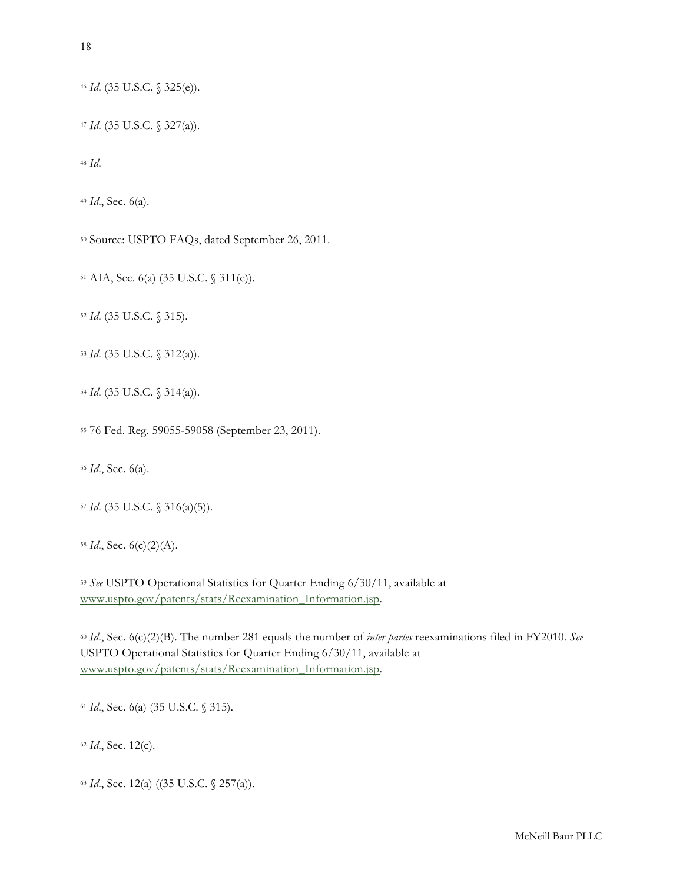*Id*. (35 U.S.C. § 325(e)).

*Id*. (35 U.S.C. § 327(a)).

*Id*.

*Id*., Sec. 6(a).

Source: USPTO FAQs, dated September 26, 2011.

AIA, Sec. 6(a) (35 U.S.C. § 311(c)).

*Id*. (35 U.S.C. § 315).

*Id*. (35 U.S.C. § 312(a)).

*Id*. (35 U.S.C. § 314(a)).

76 Fed. Reg. 59055-59058 (September 23, 2011).

*Id*., Sec. 6(a).

*Id*. (35 U.S.C. § 316(a)(5)).

*Id*., Sec. 6(c)(2)(A).

 *See* USPTO Operational Statistics for Quarter Ending 6/30/11, available at www.uspto.gov/patents/stats/Reexamination\_Information.jsp.

 *Id*., Sec. 6(c)(2)(B). The number 281 equals the number of *inter partes* reexaminations filed in FY2010. *See*  USPTO Operational Statistics for Quarter Ending 6/30/11, available at www.uspto.gov/patents/stats/Reexamination\_Information.jsp.

*Id*., Sec. 6(a) (35 U.S.C. § 315).

*Id*., Sec. 12(c).

*Id*., Sec. 12(a) ((35 U.S.C. § 257(a)).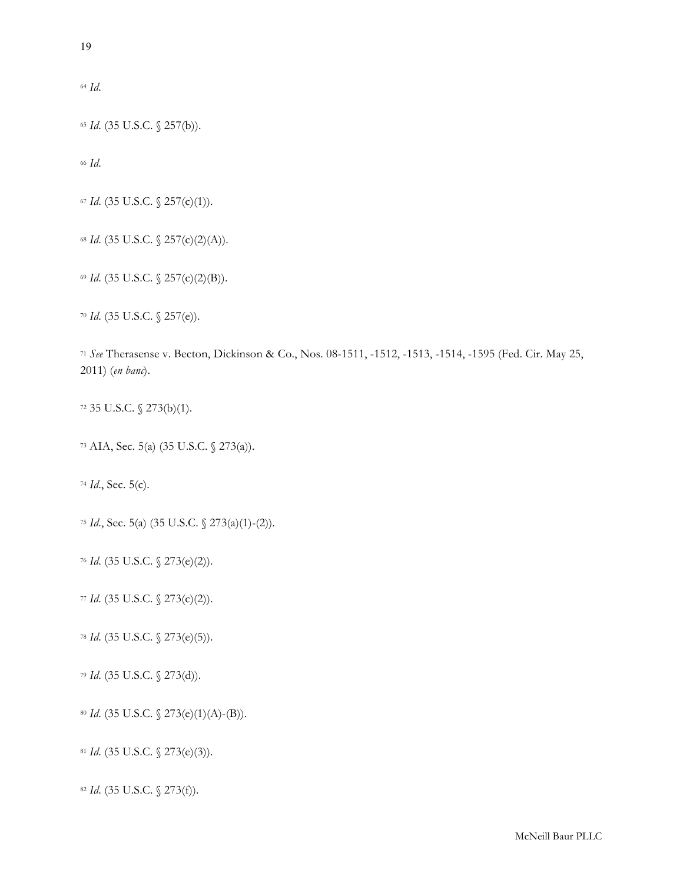*Id*.

*Id*. (35 U.S.C. § 257(b)).

*Id*.

*Id*. (35 U.S.C. § 257(c)(1)).

*Id*. (35 U.S.C. § 257(c)(2)(A)).

*Id*. (35 U.S.C. § 257(c)(2)(B)).

*Id*. (35 U.S.C. § 257(e)).

 *See* Therasense v. Becton, Dickinson & Co., Nos. 08-1511, -1512, -1513, -1514, -1595 (Fed. Cir. May 25, 2011) (*en banc*).

35 U.S.C. § 273(b)(1).

AIA, Sec. 5(a) (35 U.S.C. § 273(a)).

*Id*., Sec. 5(c).

*Id*., Sec. 5(a) (35 U.S.C. § 273(a)(1)-(2)).

*Id*. (35 U.S.C. § 273(e)(2)).

*Id*. (35 U.S.C. § 273(c)(2)).

*Id*. (35 U.S.C. § 273(e)(5)).

*Id*. (35 U.S.C. § 273(d)).

*Id*. (35 U.S.C. § 273(e)(1)(A)-(B)).

*Id*. (35 U.S.C. § 273(e)(3)).

*Id*. (35 U.S.C. § 273(f)).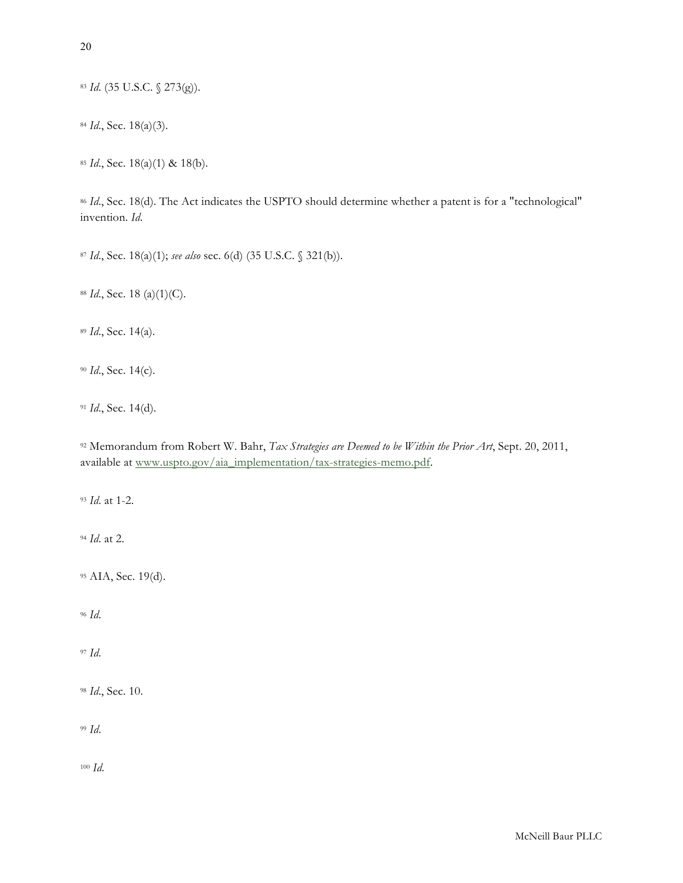*Id*. (35 U.S.C. § 273(g)).

*Id*., Sec. 18(a)(3).

*Id*., Sec. 18(a)(1) & 18(b).

*Id.*, Sec. 18(d). The Act indicates the USPTO should determine whether a patent is for a "technological" invention. *Id*.

*Id*., Sec. 18(a)(1); *see also* sec. 6(d) (35 U.S.C. § 321(b)).

*Id*., Sec. 18 (a)(1)(C).

*Id*., Sec. 14(a).

*Id*., Sec. 14(c).

*Id*., Sec. 14(d).

 Memorandum from Robert W. Bahr, *Tax Strategies are Deemed to be Within the Prior Art*, Sept. 20, 2011, available at www.uspto.gov/aia\_implementation/tax-strategies-memo.pdf.

*Id*. at 1-2.

*Id*. at 2.

AIA, Sec. 19(d).

*Id*.

*Id*.

*Id*., Sec. 10.

*Id*.

*Id*.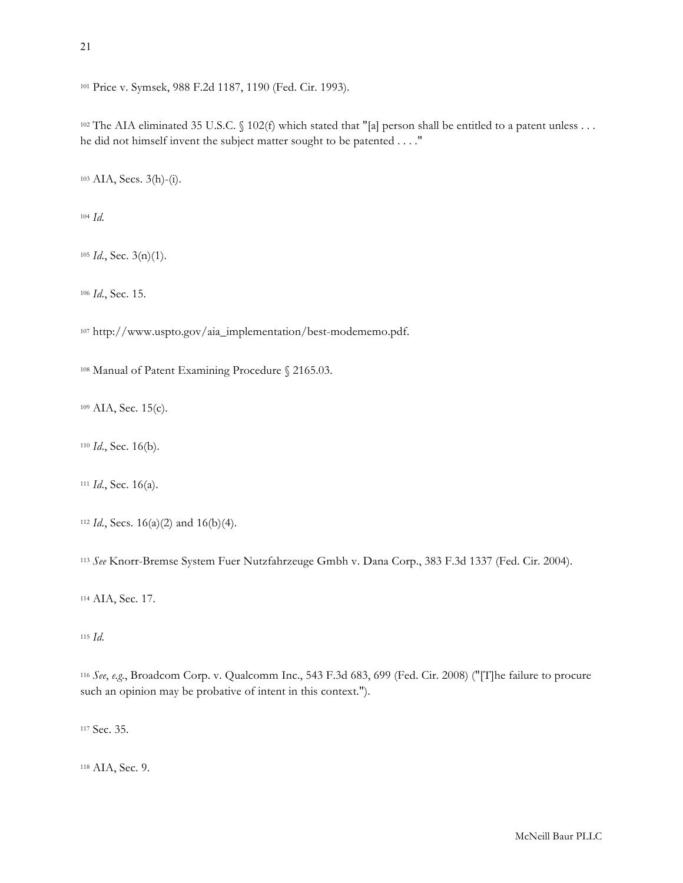Price v. Symsek, 988 F.2d 1187, 1190 (Fed. Cir. 1993).

102 The AIA eliminated 35 U.S.C. § 102(f) which stated that "[a] person shall be entitled to a patent unless ... he did not himself invent the subject matter sought to be patented . . . ."

AIA, Secs. 3(h)-(i).

*Id*.

*Id*., Sec. 3(n)(1).

*Id*., Sec. 15.

http://www.uspto.gov/aia\_implementation/best-modememo.pdf.

Manual of Patent Examining Procedure § 2165.03.

109 AIA, Sec. 15(c).

*Id*., Sec. 16(b).

*Id*., Sec. 16(a).

*See* Knorr-Bremse System Fuer Nutzfahrzeuge Gmbh v. Dana Corp., 383 F.3d 1337 (Fed. Cir. 2004).

AIA, Sec. 17.

*Id*.

 *See*, *e.g*., Broadcom Corp. v. Qualcomm Inc., 543 F.3d 683, 699 (Fed. Cir. 2008) ("[T]he failure to procure such an opinion may be probative of intent in this context.").

Sec. 35.

AIA, Sec. 9.

*Id*., Secs. 16(a)(2) and 16(b)(4).